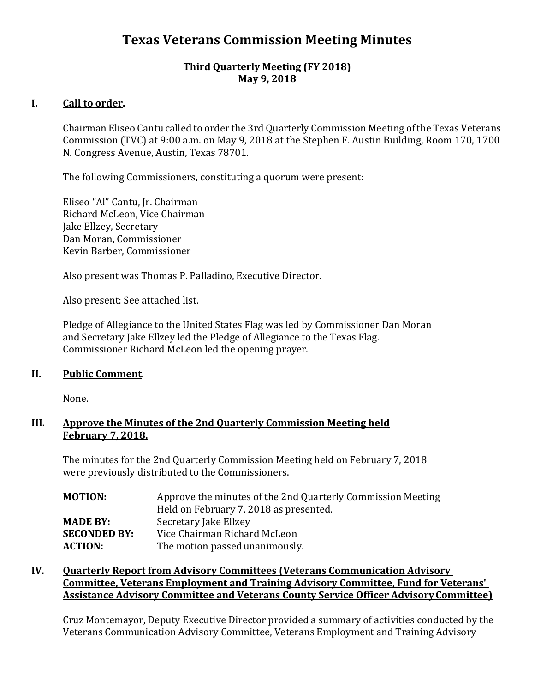# **Texas Veterans Commission Meeting Minutes**

## **Third Quarterly Meeting (FY 2018) May 9, 2018**

# **I. Call to order.**

Chairman Eliseo Cantu called to order the 3rd Quarterly Commission Meeting ofthe Texas Veterans Commission (TVC) at 9:00 a.m. on May 9, 2018 at the Stephen F. Austin Building, Room 170, 1700 N. Congress Avenue, Austin, Texas 78701.

The following Commissioners, constituting a quorum were present:

Eliseo "Al" Cantu, Jr. Chairman Richard McLeon, Vice Chairman Jake Ellzey, Secretary Dan Moran, Commissioner Kevin Barber, Commissioner

Also present was Thomas P. Palladino, Executive Director.

Also present: See attached list.

Pledge of Allegiance to the United States Flag was led by Commissioner Dan Moran and Secretary Jake Ellzey led the Pledge of Allegiance to the Texas Flag. Commissioner Richard McLeon led the opening prayer.

### **II. Public Comment**.

None.

### **III. Approve the Minutes of the 2nd Quarterly Commission Meeting held February 7, 2018.**

The minutes for the 2nd Quarterly Commission Meeting held on February 7, 2018 were previously distributed to the Commissioners.

| <b>MOTION:</b>      | Approve the minutes of the 2nd Quarterly Commission Meeting |
|---------------------|-------------------------------------------------------------|
|                     | Held on February 7, 2018 as presented.                      |
| <b>MADE BY:</b>     | Secretary Jake Ellzey                                       |
| <b>SECONDED BY:</b> | Vice Chairman Richard McLeon                                |
| <b>ACTION:</b>      | The motion passed unanimously.                              |

# **IV. Quarterly Report from Advisory Committees (Veterans Communication Advisory Committee, Veterans Employment and Training Advisory Committee, Fund for Veterans' Assistance Advisory Committee and Veterans County Service Officer AdvisoryCommittee)**

Cruz Montemayor, Deputy Executive Director provided a summary of activities conducted by the Veterans Communication Advisory Committee, Veterans Employment and Training Advisory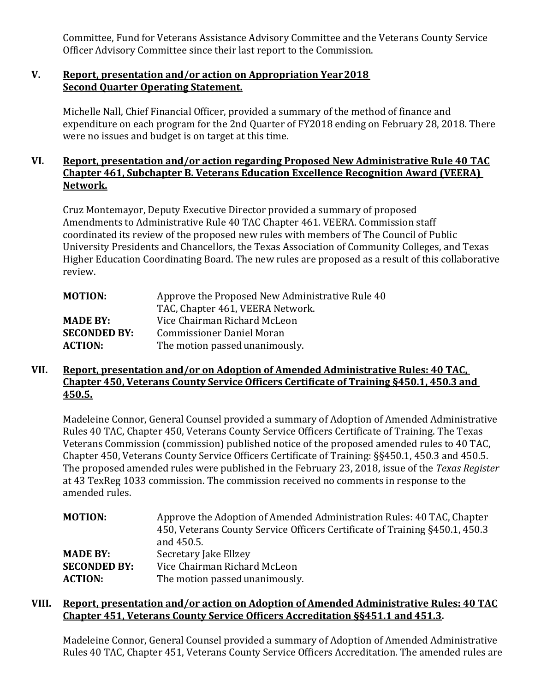Committee, Fund for Veterans Assistance Advisory Committee and the Veterans County Service Officer Advisory Committee since their last report to the Commission.

#### **V. Report, presentation and/or action on Appropriation Year2018 Second Quarter Operating Statement.**

Michelle Nall, Chief Financial Officer, provided a summary of the method of finance and expenditure on each program for the 2nd Quarter of FY2018 ending on February 28, 2018. There were no issues and budget is on target at this time.

# **VI. Report, presentation and/or action regarding Proposed New Administrative Rule 40 TAC Chapter 461, Subchapter B. Veterans Education Excellence Recognition Award (VEERA) Network.**

Cruz Montemayor, Deputy Executive Director provided a summary of proposed Amendments to Administrative Rule 40 TAC Chapter 461. VEERA. Commission staff coordinated its review of the proposed new rules with members of The Council of Public University Presidents and Chancellors, the Texas Association of Community Colleges, and Texas Higher Education Coordinating Board. The new rules are proposed as a result of this collaborative review.

| <b>MOTION:</b>      | Approve the Proposed New Administrative Rule 40 |
|---------------------|-------------------------------------------------|
|                     | TAC, Chapter 461, VEERA Network.                |
| <b>MADE BY:</b>     | Vice Chairman Richard McLeon                    |
| <b>SECONDED BY:</b> | <b>Commissioner Daniel Moran</b>                |
| <b>ACTION:</b>      | The motion passed unanimously.                  |

# **VII. Report, presentation and/or on Adoption of Amended Administrative Rules: 40 TAC, Chapter 450, Veterans County Service Officers Certificate of Training §450.1, 450.3 and 450.5.**

Madeleine Connor, General Counsel provided a summary of Adoption of Amended Administrative Rules 40 TAC, Chapter 450, Veterans County Service Officers Certificate of Training. The Texas Veterans Commission (commission) published notice of the proposed amended rules to 40 TAC, Chapter 450, Veterans County Service Officers Certificate of Training: §§450.1, 450.3 and 450.5. The proposed amended rules were published in the February 23, 2018, issue of the *Texas Register*  at 43 TexReg 1033 commission. The commission received no comments in response to the amended rules.

| <b>MOTION:</b>      | Approve the Adoption of Amended Administration Rules: 40 TAC, Chapter       |
|---------------------|-----------------------------------------------------------------------------|
|                     | 450. Veterans County Service Officers Certificate of Training §450.1, 450.3 |
|                     | and 450.5.                                                                  |
| <b>MADE BY:</b>     | Secretary Jake Ellzey                                                       |
| <b>SECONDED BY:</b> | Vice Chairman Richard McLeon                                                |
| <b>ACTION:</b>      | The motion passed unanimously.                                              |

# **VIII. Report, presentation and/or action on Adoption of Amended Administrative Rules: 40 TAC Chapter 451, Veterans County Service Officers Accreditation §§451.1 and 451.3.**

Madeleine Connor, General Counsel provided a summary of Adoption of Amended Administrative Rules 40 TAC, Chapter 451, Veterans County Service Officers Accreditation. The amended rules are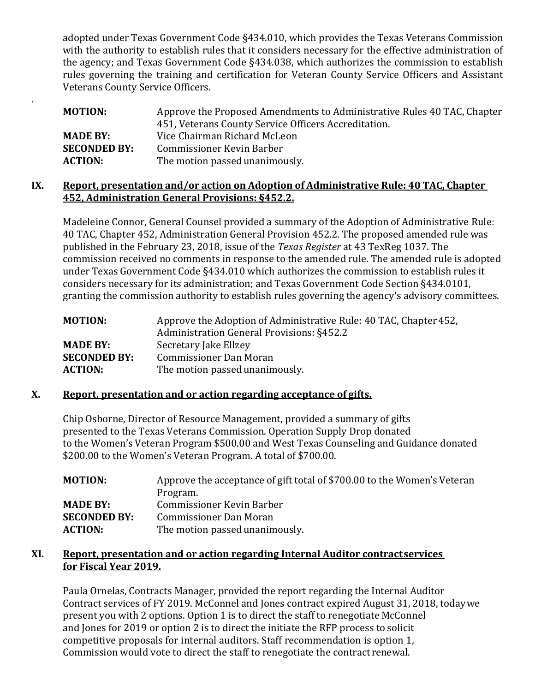adopted under Texas Government Code §434.010, which provides the Texas Veterans Commission with the authority to establish rules that it considers necessary for the effective administration of the agency; and Texas Government Code §434.038, which authorizes the commission to establish rules governing the training and certification for Veteran County Service Officers and Assistant Veterans County Service Officers.

| MOTION:             | Approve the Proposed Amendments to Administrative Rules 40 TAC, Chapter |
|---------------------|-------------------------------------------------------------------------|
|                     | 451, Veterans County Service Officers Accreditation.                    |
| <b>MADE BY:</b>     | Vice Chairman Richard McLeon                                            |
| <b>SECONDED BY:</b> | <b>Commissioner Kevin Barber</b>                                        |
| <b>ACTION:</b>      | The motion passed unanimously.                                          |

## **IX. Report, presentation and/or action on Adoption of Administrative Rule: 40 TAC, Chapter 452, Administration General Provisions: §452.2.**

Madeleine Connor, General Counsel provided a summary of the Adoption of Administrative Rule: 40 TAC, Chapter 452, Administration General Provision 452.2. The proposed amended rule was published in the February 23, 2018, issue of the *Texas Register* at 43 TexReg 1037. The commission received no comments in response to the amended rule. The amended rule is adopted under Texas Government Code §434.010 which authorizes the commission to establish rules it considers necessary for its administration; and Texas Government Code Section §434.0101, granting the commission authority to establish rules governing the agency's advisory committees.

| <b>MOTION:</b>      | Approve the Adoption of Administrative Rule: 40 TAC, Chapter 452, |
|---------------------|-------------------------------------------------------------------|
|                     | Administration General Provisions: §452.2                         |
| <b>MADE BY:</b>     | Secretary Jake Ellzey                                             |
| <b>SECONDED BY:</b> | <b>Commissioner Dan Moran</b>                                     |
| <b>ACTION:</b>      | The motion passed unanimously.                                    |

# **X. Report, presentation and or action regarding acceptance of gifts.**

.

Chip Osborne, Director of Resource Management, provided a summary of gifts presented to the Texas Veterans Commission. Operation Supply Drop donated to the Women's Veteran Program \$500.00 and West Texas Counseling and Guidance donated \$200.00 to the Women's Veteran Program. A total of \$700.00.

| <b>MOTION:</b>      | Approve the acceptance of gift total of \$700.00 to the Women's Veteran |
|---------------------|-------------------------------------------------------------------------|
|                     | Program.                                                                |
| <b>MADE BY:</b>     | Commissioner Kevin Barber                                               |
| <b>SECONDED BY:</b> | <b>Commissioner Dan Moran</b>                                           |
| <b>ACTION:</b>      | The motion passed unanimously.                                          |
|                     |                                                                         |

# **XI. Report, presentation and or action regarding Internal Auditor contractservices for Fiscal Year 2019.**

Paula Ornelas, Contracts Manager, provided the report regarding the Internal Auditor Contract services of FY 2019. McConnel and Jones contract expired August 31, 2018, todaywe present you with 2 options. Option 1 is to direct the staff to renegotiate McConnel and Jones for 2019 or option 2 is to direct the initiate the RFP process to solicit competitive proposals for internal auditors. Staff recommendation is option 1, Commission would vote to direct the staff to renegotiate the contract renewal.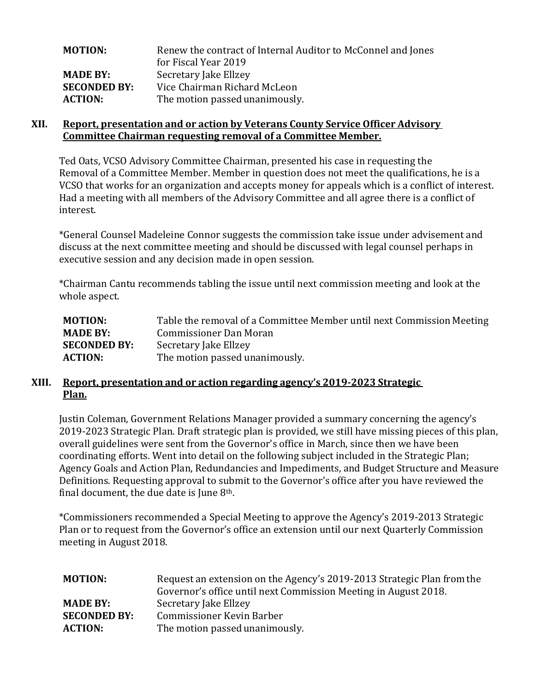| <b>MOTION:</b>      | Renew the contract of Internal Auditor to McConnel and Jones |
|---------------------|--------------------------------------------------------------|
|                     | for Fiscal Year 2019                                         |
| <b>MADE BY:</b>     | Secretary Jake Ellzey                                        |
| <b>SECONDED BY:</b> | Vice Chairman Richard McLeon                                 |
| <b>ACTION:</b>      | The motion passed unanimously.                               |

#### **XII. Report, presentation and or action by Veterans County Service Officer Advisory Committee Chairman requesting removal of a Committee Member.**

Ted Oats, VCSO Advisory Committee Chairman, presented his case in requesting the Removal of a Committee Member. Member in question does not meet the qualifications, he is a VCSO that works for an organization and accepts money for appeals which is a conflict of interest. Had a meeting with all members of the Advisory Committee and all agree there is a conflict of interest.

\*General Counsel Madeleine Connor suggests the commission take issue under advisement and discuss at the next committee meeting and should be discussed with legal counsel perhaps in executive session and any decision made in open session.

\*Chairman Cantu recommends tabling the issue until next commission meeting and look at the whole aspect.

| <b>MOTION:</b>      | Table the removal of a Committee Member until next Commission Meeting |
|---------------------|-----------------------------------------------------------------------|
| <b>MADE BY:</b>     | <b>Commissioner Dan Moran</b>                                         |
| <b>SECONDED BY:</b> | Secretary Jake Ellzey                                                 |
| <b>ACTION:</b>      | The motion passed unanimously.                                        |
|                     |                                                                       |

### **XIII. Report, presentation and or action regarding agency's 2019-2023 Strategic Plan.**

Justin Coleman, Government Relations Manager provided a summary concerning the agency's 2019-2023 Strategic Plan. Draft strategic plan is provided, we still have missing pieces of this plan, overall guidelines were sent from the Governor's office in March, since then we have been coordinating efforts. Went into detail on the following subject included in the Strategic Plan; Agency Goals and Action Plan, Redundancies and Impediments, and Budget Structure and Measure Definitions. Requesting approval to submit to the Governor's office after you have reviewed the final document, the due date is June  $8<sup>th</sup>$ .

\*Commissioners recommended a Special Meeting to approve the Agency's 2019-2013 Strategic Plan or to request from the Governor's office an extension until our next Quarterly Commission meeting in August 2018.

| <b>MOTION:</b>      | Request an extension on the Agency's 2019-2013 Strategic Plan from the<br>Governor's office until next Commission Meeting in August 2018. |
|---------------------|-------------------------------------------------------------------------------------------------------------------------------------------|
| <b>MADE BY:</b>     | Secretary Jake Ellzey                                                                                                                     |
| <b>SECONDED BY:</b> | <b>Commissioner Kevin Barber</b>                                                                                                          |
| <b>ACTION:</b>      | The motion passed unanimously.                                                                                                            |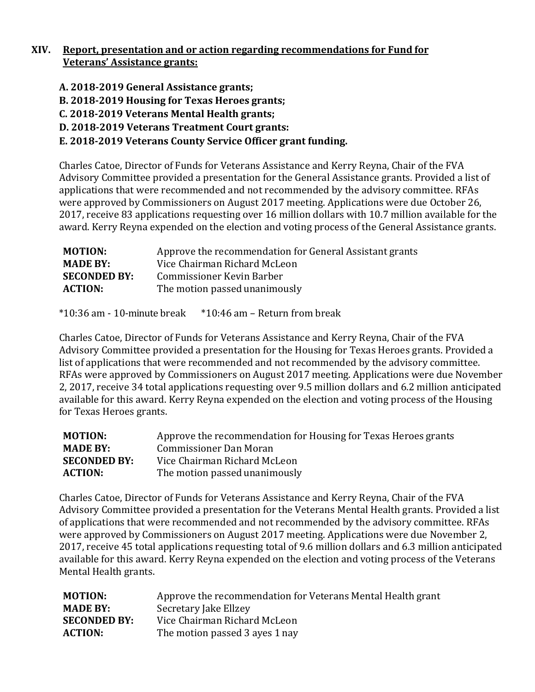# **XIV. Report, presentation and or action regarding recommendations for Fund for Veterans' Assistance grants:**

- **A. 2018-2019 General Assistance grants;**
- **B. 2018-2019 Housing for Texas Heroes grants;**
- **C. 2018-2019 Veterans Mental Health grants;**
- **D. 2018-2019 Veterans Treatment Court grants:**

# **E. 2018-2019 Veterans County Service Officer grant funding.**

Charles Catoe, Director of Funds for Veterans Assistance and Kerry Reyna, Chair of the FVA Advisory Committee provided a presentation for the General Assistance grants. Provided a list of applications that were recommended and not recommended by the advisory committee. RFAs were approved by Commissioners on August 2017 meeting. Applications were due October 26, 2017, receive 83 applications requesting over 16 million dollars with 10.7 million available for the award. Kerry Reyna expended on the election and voting process of the General Assistance grants.

| <b>MOTION:</b>      | Approve the recommendation for General Assistant grants |
|---------------------|---------------------------------------------------------|
| <b>MADE BY:</b>     | Vice Chairman Richard McLeon                            |
| <b>SECONDED BY:</b> | Commissioner Kevin Barber                               |
| <b>ACTION:</b>      | The motion passed unanimously                           |

 $*10:36$  am - 10-minute break  $*10:46$  am – Return from break

Charles Catoe, Director of Funds for Veterans Assistance and Kerry Reyna, Chair of the FVA Advisory Committee provided a presentation for the Housing for Texas Heroes grants. Provided a list of applications that were recommended and not recommended by the advisory committee. RFAs were approved by Commissioners on August 2017 meeting. Applications were due November 2, 2017, receive 34 total applications requesting over 9.5 million dollars and 6.2 million anticipated available for this award. Kerry Reyna expended on the election and voting process of the Housing for Texas Heroes grants.

| <b>MOTION:</b>      | Approve the recommendation for Housing for Texas Heroes grants |
|---------------------|----------------------------------------------------------------|
| <b>MADE BY:</b>     | <b>Commissioner Dan Moran</b>                                  |
| <b>SECONDED BY:</b> | Vice Chairman Richard McLeon                                   |
| <b>ACTION:</b>      | The motion passed unanimously                                  |

Charles Catoe, Director of Funds for Veterans Assistance and Kerry Reyna, Chair of the FVA Advisory Committee provided a presentation for the Veterans Mental Health grants. Provided a list of applications that were recommended and not recommended by the advisory committee. RFAs were approved by Commissioners on August 2017 meeting. Applications were due November 2, 2017, receive 45 total applications requesting total of 9.6 million dollars and 6.3 million anticipated available for this award. Kerry Reyna expended on the election and voting process of the Veterans Mental Health grants.

| <b>MOTION:</b>      | Approve the recommendation for Veterans Mental Health grant |
|---------------------|-------------------------------------------------------------|
| <b>MADE BY:</b>     | Secretary Jake Ellzey                                       |
| <b>SECONDED BY:</b> | Vice Chairman Richard McLeon                                |
| <b>ACTION:</b>      | The motion passed 3 ayes 1 nay                              |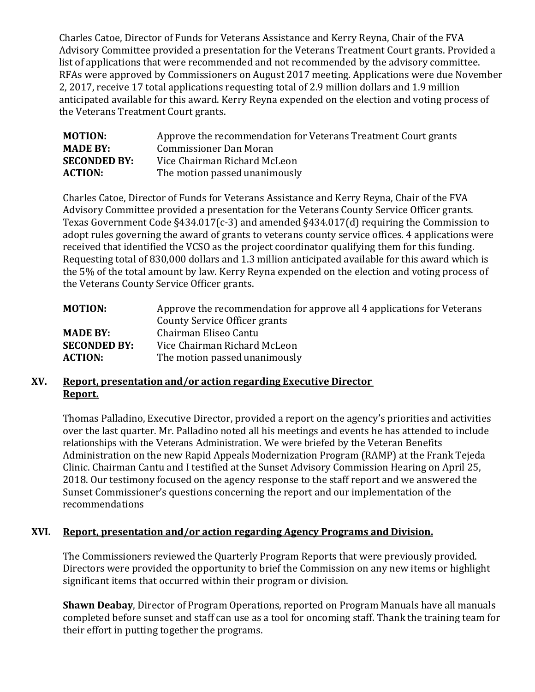Charles Catoe, Director of Funds for Veterans Assistance and Kerry Reyna, Chair of the FVA Advisory Committee provided a presentation for the Veterans Treatment Court grants. Provided a list of applications that were recommended and not recommended by the advisory committee. RFAs were approved by Commissioners on August 2017 meeting. Applications were due November 2, 2017, receive 17 total applications requesting total of 2.9 million dollars and 1.9 million anticipated available for this award. Kerry Reyna expended on the election and voting process of the Veterans Treatment Court grants.

| <b>MOTION:</b>      | Approve the recommendation for Veterans Treatment Court grants |
|---------------------|----------------------------------------------------------------|
| <b>MADE BY:</b>     | Commissioner Dan Moran                                         |
| <b>SECONDED BY:</b> | Vice Chairman Richard McLeon                                   |
| <b>ACTION:</b>      | The motion passed unanimously                                  |

Charles Catoe, Director of Funds for Veterans Assistance and Kerry Reyna, Chair of the FVA Advisory Committee provided a presentation for the Veterans County Service Officer grants. Texas Government Code §434.017(c-3) and amended §434.017(d) requiring the Commission to adopt rules governing the award of grants to veterans county service offices. 4 applications were received that identified the VCSO as the project coordinator qualifying them for this funding. Requesting total of 830,000 dollars and 1.3 million anticipated available for this award which is the 5% of the total amount by law. Kerry Reyna expended on the election and voting process of the Veterans County Service Officer grants.

| <b>MOTION:</b>      | Approve the recommendation for approve all 4 applications for Veterans |
|---------------------|------------------------------------------------------------------------|
|                     | County Service Officer grants                                          |
| <b>MADE BY:</b>     | Chairman Eliseo Cantu                                                  |
| <b>SECONDED BY:</b> | Vice Chairman Richard McLeon                                           |
| <b>ACTION:</b>      | The motion passed unanimously                                          |

# **XV. Report, presentation and/or action regarding Executive Director Report.**

Thomas Palladino, Executive Director, provided a report on the agency's priorities and activities over the last quarter. Mr. Palladino noted all his meetings and events he has attended to include relationships with the Veterans Administration. We were briefed by the Veteran Benefits Administration on the new Rapid Appeals Modernization Program (RAMP) at the Frank Tejeda Clinic. Chairman Cantu and I testified at the Sunset Advisory Commission Hearing on April 25, 2018. Our testimony focused on the agency response to the staff report and we answered the Sunset Commissioner's questions concerning the report and our implementation of the recommendations

# **XVI. Report, presentation and/or action regarding Agency Programs and Division.**

The Commissioners reviewed the Quarterly Program Reports that were previously provided. Directors were provided the opportunity to brief the Commission on any new items or highlight significant items that occurred within their program or division.

**Shawn Deabay**, Director of Program Operations, reported on Program Manuals have all manuals completed before sunset and staff can use as a tool for oncoming staff. Thank the training team for their effort in putting together the programs.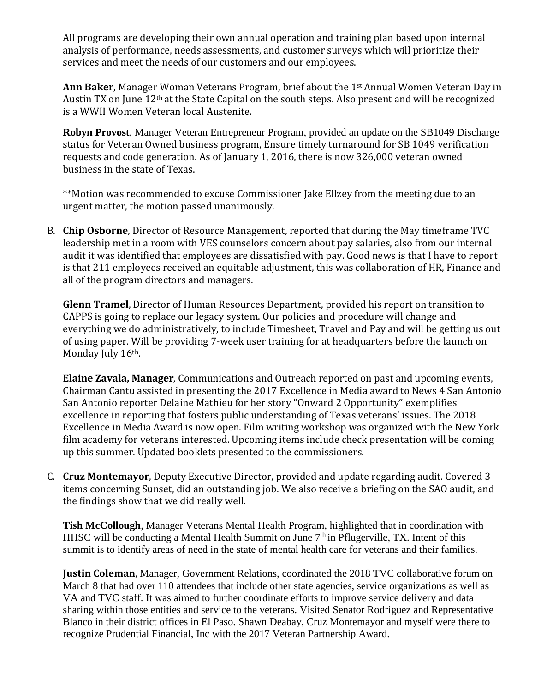All programs are developing their own annual operation and training plan based upon internal analysis of performance, needs assessments, and customer surveys which will prioritize their services and meet the needs of our customers and our employees.

**Ann Baker**, Manager Woman Veterans Program, brief about the 1st Annual Women Veteran Day in Austin TX on June 12th at the State Capital on the south steps. Also present and will be recognized is a WWII Women Veteran local Austenite.

**Robyn Provost**, Manager Veteran Entrepreneur Program, provided an update on the SB1049 Discharge status for Veteran Owned business program, Ensure timely turnaround for SB 1049 verification requests and code generation. As of January 1, 2016, there is now 326,000 veteran owned business in the state of Texas.

\*\*Motion was recommended to excuse Commissioner Jake Ellzey from the meeting due to an urgent matter, the motion passed unanimously.

B. **Chip Osborne**, Director of Resource Management, reported that during the May timeframe TVC leadership met in a room with VES counselors concern about pay salaries, also from our internal audit it was identified that employees are dissatisfied with pay. Good news is that I have to report is that 211 employees received an equitable adjustment, this was collaboration of HR, Finance and all of the program directors and managers.

**Glenn Tramel**, Director of Human Resources Department, provided his report on transition to CAPPS is going to replace our legacy system. Our policies and procedure will change and everything we do administratively, to include Timesheet, Travel and Pay and will be getting us out of using paper. Will be providing 7-week user training for at headquarters before the launch on Monday July 16th.

**Elaine Zavala, Manager**, Communications and Outreach reported on past and upcoming events, Chairman Cantu assisted in presenting the 2017 Excellence in Media award to News 4 San Antonio San Antonio reporter Delaine Mathieu for her story "Onward 2 Opportunity" exemplifies excellence in reporting that fosters public understanding of Texas veterans' issues. The 2018 Excellence in Media Award is now open. Film writing workshop was organized with the New York film academy for veterans interested. Upcoming items include check presentation will be coming up this summer. Updated booklets presented to the commissioners.

C. **Cruz Montemayor**, Deputy Executive Director, provided and update regarding audit. Covered 3 items concerning Sunset, did an outstanding job. We also receive a briefing on the SAO audit, and the findings show that we did really well.

**Tish McCollough**, Manager Veterans Mental Health Program, highlighted that in coordination with HHSC will be conducting a Mental Health Summit on June  $7<sup>th</sup>$  in Pflugerville, TX. Intent of this summit is to identify areas of need in the state of mental health care for veterans and their families.

**Justin Coleman**, Manager, Government Relations, coordinated the 2018 TVC collaborative forum on March 8 that had over 110 attendees that include other state agencies, service organizations as well as VA and TVC staff. It was aimed to further coordinate efforts to improve service delivery and data sharing within those entities and service to the veterans. Visited Senator Rodriguez and Representative Blanco in their district offices in El Paso. Shawn Deabay, Cruz Montemayor and myself were there to recognize Prudential Financial, Inc with the 2017 Veteran Partnership Award.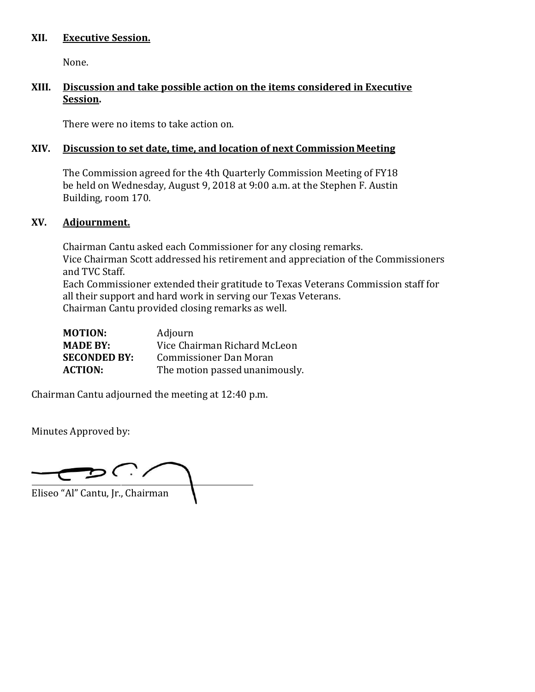#### **XII. Executive Session.**

None.

## **XIII. Discussion and take possible action on the items considered in Executive Session.**

There were no items to take action on.

#### **XIV. Discussion to set date, time, and location of next Commission Meeting**

The Commission agreed for the 4th Quarterly Commission Meeting of FY18 be held on Wednesday, August 9, 2018 at 9:00 a.m. at the Stephen F. Austin Building, room 170.

#### **XV. Adjournment.**

Chairman Cantu asked each Commissioner for any closing remarks. Vice Chairman Scott addressed his retirement and appreciation of the Commissioners and TVC Staff. Each Commissioner extended their gratitude to Texas Veterans Commission staff for all their support and hard work in serving our Texas Veterans. Chairman Cantu provided closing remarks as well.

Chairman Cantu adjourned the meeting at 12:40 p.m.

Minutes Approved by:

 $DCD$ Eliseo "Al" Cantu, Jr., Chairman